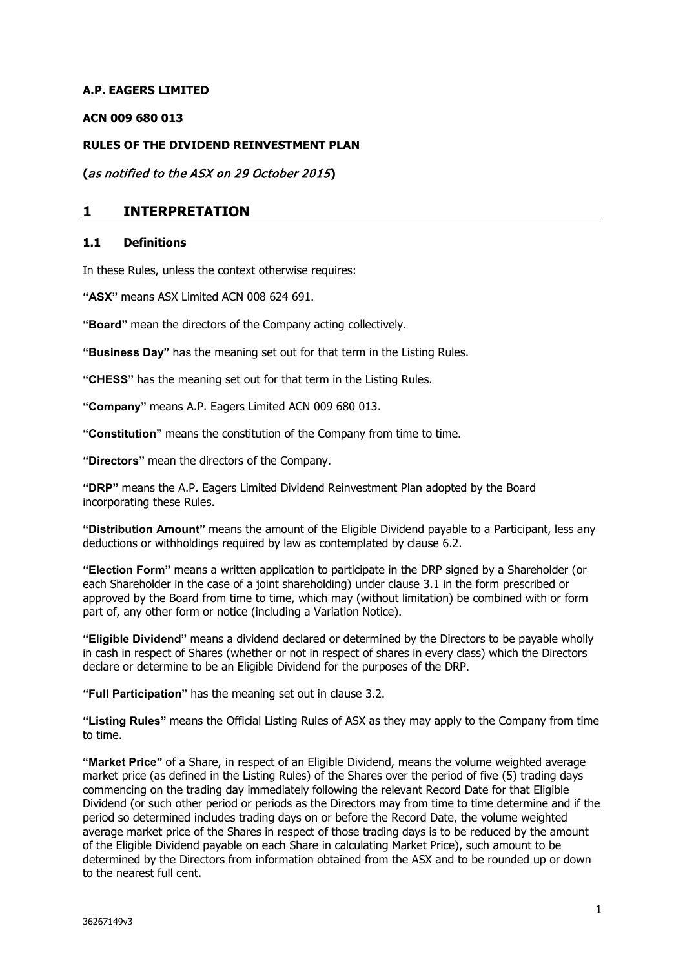### **A.P. EAGERS LIMITED**

#### **ACN 009 680 013**

#### **RULES OF THE DIVIDEND REINVESTMENT PLAN**

**(**as notified to the ASX on 29 October 2015**)**

### **1 INTERPRETATION**

#### **1.1 Definitions**

In these Rules, unless the context otherwise requires:

**"ASX"** means ASX Limited ACN 008 624 691.

**"Board"** mean the directors of the Company acting collectively.

**"Business Day"** has the meaning set out for that term in the Listing Rules.

**"CHESS"** has the meaning set out for that term in the Listing Rules.

**"Company"** means A.P. Eagers Limited ACN 009 680 013.

**"Constitution"** means the constitution of the Company from time to time.

**"Directors"** mean the directors of the Company.

**"DRP"** means the A.P. Eagers Limited Dividend Reinvestment Plan adopted by the Board incorporating these Rules.

**"Distribution Amount"** means the amount of the Eligible Dividend payable to a Participant, less any deductions or withholdings required by law as contemplated by clause 6.2.

**"Election Form"** means a written application to participate in the DRP signed by a Shareholder (or each Shareholder in the case of a joint shareholding) under clause 3.1 in the form prescribed or approved by the Board from time to time, which may (without limitation) be combined with or form part of, any other form or notice (including a Variation Notice).

**"Eligible Dividend"** means a dividend declared or determined by the Directors to be payable wholly in cash in respect of Shares (whether or not in respect of shares in every class) which the Directors declare or determine to be an Eligible Dividend for the purposes of the DRP.

**"Full Participation"** has the meaning set out in clause 3.2.

**"Listing Rules"** means the Official Listing Rules of ASX as they may apply to the Company from time to time.

**"Market Price"** of a Share, in respect of an Eligible Dividend, means the volume weighted average market price (as defined in the Listing Rules) of the Shares over the period of five (5) trading days commencing on the trading day immediately following the relevant Record Date for that Eligible Dividend (or such other period or periods as the Directors may from time to time determine and if the period so determined includes trading days on or before the Record Date, the volume weighted average market price of the Shares in respect of those trading days is to be reduced by the amount of the Eligible Dividend payable on each Share in calculating Market Price), such amount to be determined by the Directors from information obtained from the ASX and to be rounded up or down to the nearest full cent.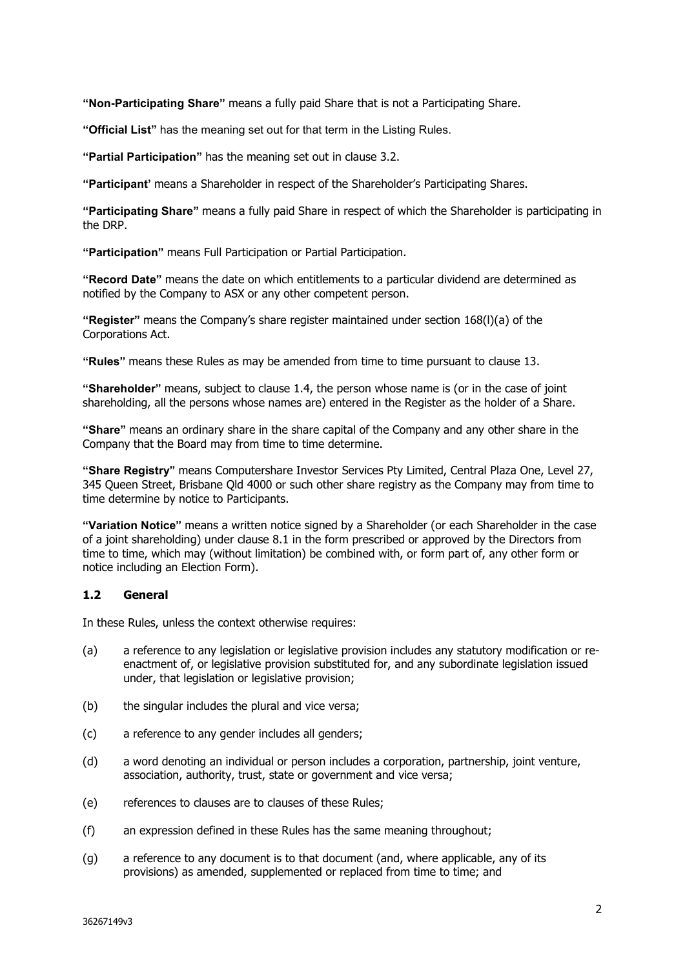**"Non-Participating Share"** means a fully paid Share that is not a Participating Share.

**"Official List"** has the meaning set out for that term in the Listing Rules.

**"Partial Participation"** has the meaning set out in clause 3.2.

**"Participant'** means a Shareholder in respect of the Shareholder's Participating Shares.

**"Participating Share"** means a fully paid Share in respect of which the Shareholder is participating in the DRP.

**"Participation"** means Full Participation or Partial Participation.

**"Record Date"** means the date on which entitlements to a particular dividend are determined as notified by the Company to ASX or any other competent person.

**"Register"** means the Company's share register maintained under section 168(l)(a) of the Corporations Act.

**"Rules"** means these Rules as may be amended from time to time pursuant to clause 13.

**"Shareholder"** means, subject to clause 1.4, the person whose name is (or in the case of joint shareholding, all the persons whose names are) entered in the Register as the holder of a Share.

**"Share"** means an ordinary share in the share capital of the Company and any other share in the Company that the Board may from time to time determine.

**"Share Registry"** means Computershare Investor Services Pty Limited, Central Plaza One, Level 27, 345 Queen Street, Brisbane Qld 4000 or such other share registry as the Company may from time to time determine by notice to Participants.

**"Variation Notice"** means a written notice signed by a Shareholder (or each Shareholder in the case of a joint shareholding) under clause 8.1 in the form prescribed or approved by the Directors from time to time, which may (without limitation) be combined with, or form part of, any other form or notice including an Election Form).

### **1.2 General**

In these Rules, unless the context otherwise requires:

- (a) a reference to any legislation or legislative provision includes any statutory modification or reenactment of, or legislative provision substituted for, and any subordinate legislation issued under, that legislation or legislative provision;
- (b) the singular includes the plural and vice versa;
- (c) a reference to any gender includes all genders;
- (d) a word denoting an individual or person includes a corporation, partnership, joint venture, association, authority, trust, state or government and vice versa;
- (e) references to clauses are to clauses of these Rules;
- (f) an expression defined in these Rules has the same meaning throughout;
- (g) a reference to any document is to that document (and, where applicable, any of its provisions) as amended, supplemented or replaced from time to time; and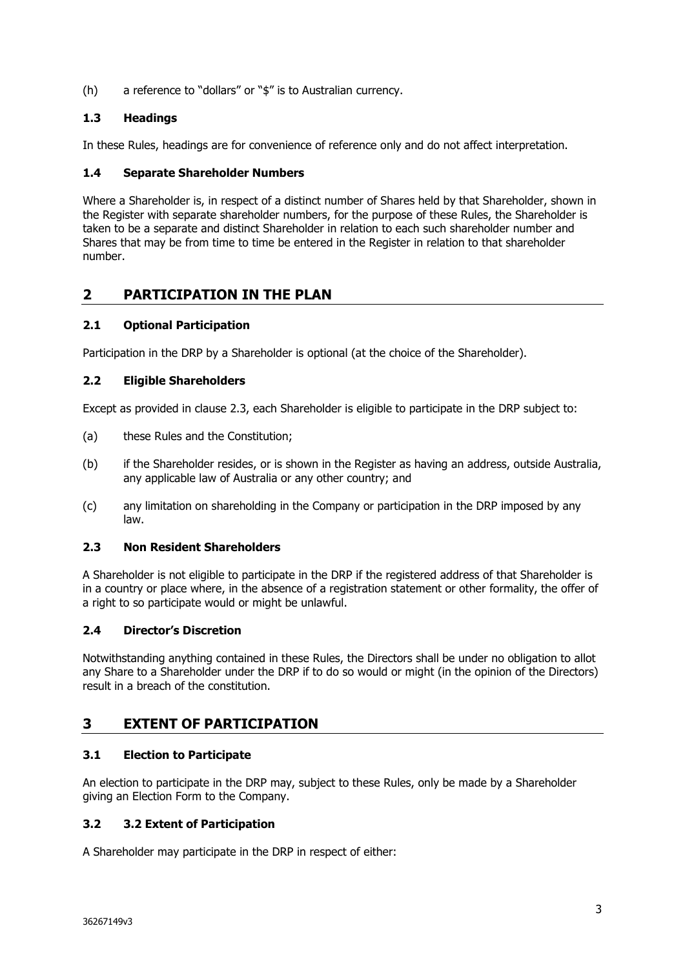(h) a reference to "dollars" or "\$" is to Australian currency.

## **1.3 Headings**

In these Rules, headings are for convenience of reference only and do not affect interpretation.

### **1.4 Separate Shareholder Numbers**

Where a Shareholder is, in respect of a distinct number of Shares held by that Shareholder, shown in the Register with separate shareholder numbers, for the purpose of these Rules, the Shareholder is taken to be a separate and distinct Shareholder in relation to each such shareholder number and Shares that may be from time to time be entered in the Register in relation to that shareholder number.

# **2 PARTICIPATION IN THE PLAN**

## **2.1 Optional Participation**

Participation in the DRP by a Shareholder is optional (at the choice of the Shareholder).

### **2.2 Eligible Shareholders**

Except as provided in clause 2.3, each Shareholder is eligible to participate in the DRP subject to:

- (a) these Rules and the Constitution;
- (b) if the Shareholder resides, or is shown in the Register as having an address, outside Australia, any applicable law of Australia or any other country; and
- (c) any limitation on shareholding in the Company or participation in the DRP imposed by any law.

### **2.3 Non Resident Shareholders**

A Shareholder is not eligible to participate in the DRP if the registered address of that Shareholder is in a country or place where, in the absence of a registration statement or other formality, the offer of a right to so participate would or might be unlawful.

### **2.4 Director's Discretion**

Notwithstanding anything contained in these Rules, the Directors shall be under no obligation to allot any Share to a Shareholder under the DRP if to do so would or might (in the opinion of the Directors) result in a breach of the constitution.

# **3 EXTENT OF PARTICIPATION**

## **3.1 Election to Participate**

An election to participate in the DRP may, subject to these Rules, only be made by a Shareholder giving an Election Form to the Company.

## **3.2 3.2 Extent of Participation**

A Shareholder may participate in the DRP in respect of either: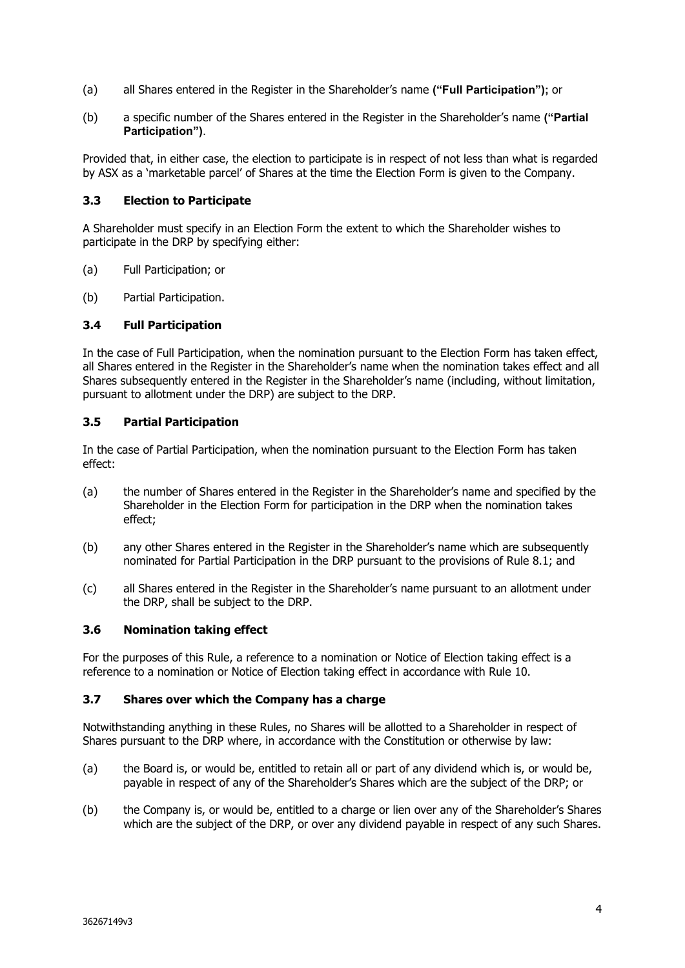- (a) all Shares entered in the Register in the Shareholder's name **("Full Participation");** or
- (b) a specific number of the Shares entered in the Register in the Shareholder's name **("Partial Participation")**.

Provided that, in either case, the election to participate is in respect of not less than what is regarded by ASX as a 'marketable parcel' of Shares at the time the Election Form is given to the Company.

#### **3.3 Election to Participate**

A Shareholder must specify in an Election Form the extent to which the Shareholder wishes to participate in the DRP by specifying either:

- (a) Full Participation; or
- (b) Partial Participation.

#### **3.4 Full Participation**

In the case of Full Participation, when the nomination pursuant to the Election Form has taken effect, all Shares entered in the Register in the Shareholder's name when the nomination takes effect and all Shares subsequently entered in the Register in the Shareholder's name (including, without limitation, pursuant to allotment under the DRP) are subject to the DRP.

#### **3.5 Partial Participation**

In the case of Partial Participation, when the nomination pursuant to the Election Form has taken effect:

- (a) the number of Shares entered in the Register in the Shareholder's name and specified by the Shareholder in the Election Form for participation in the DRP when the nomination takes effect;
- (b) any other Shares entered in the Register in the Shareholder's name which are subsequently nominated for Partial Participation in the DRP pursuant to the provisions of Rule 8.1; and
- (c) all Shares entered in the Register in the Shareholder's name pursuant to an allotment under the DRP, shall be subject to the DRP.

#### **3.6 Nomination taking effect**

For the purposes of this Rule, a reference to a nomination or Notice of Election taking effect is a reference to a nomination or Notice of Election taking effect in accordance with Rule 10.

#### **3.7 Shares over which the Company has a charge**

Notwithstanding anything in these Rules, no Shares will be allotted to a Shareholder in respect of Shares pursuant to the DRP where, in accordance with the Constitution or otherwise by law:

- (a) the Board is, or would be, entitled to retain all or part of any dividend which is, or would be, payable in respect of any of the Shareholder's Shares which are the subject of the DRP; or
- (b) the Company is, or would be, entitled to a charge or lien over any of the Shareholder's Shares which are the subject of the DRP, or over any dividend payable in respect of any such Shares.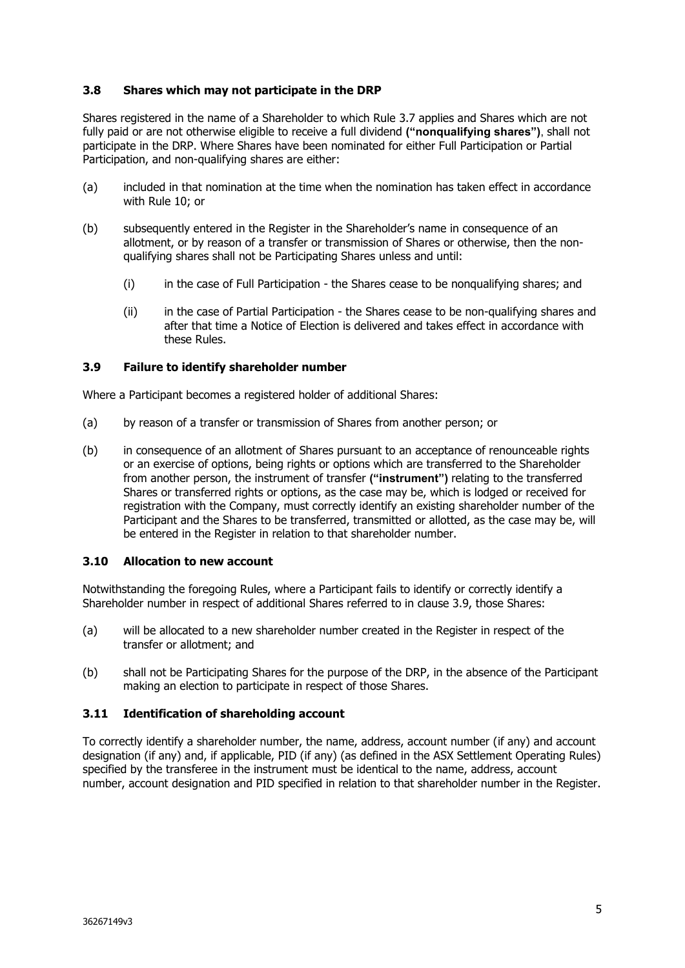### **3.8 Shares which may not participate in the DRP**

Shares registered in the name of a Shareholder to which Rule 3.7 applies and Shares which are not fully paid or are not otherwise eligible to receive a full dividend **("nonqualifying shares")**, shall not participate in the DRP. Where Shares have been nominated for either Full Participation or Partial Participation, and non-qualifying shares are either:

- (a) included in that nomination at the time when the nomination has taken effect in accordance with Rule 10; or
- (b) subsequently entered in the Register in the Shareholder's name in consequence of an allotment, or by reason of a transfer or transmission of Shares or otherwise, then the nonqualifying shares shall not be Participating Shares unless and until:
	- (i) in the case of Full Participation the Shares cease to be nonqualifying shares; and
	- (ii) in the case of Partial Participation the Shares cease to be non-qualifying shares and after that time a Notice of Election is delivered and takes effect in accordance with these Rules.

### **3.9 Failure to identify shareholder number**

Where a Participant becomes a registered holder of additional Shares:

- (a) by reason of a transfer or transmission of Shares from another person; or
- (b) in consequence of an allotment of Shares pursuant to an acceptance of renounceable rights or an exercise of options, being rights or options which are transferred to the Shareholder from another person, the instrument of transfer **("instrument")** relating to the transferred Shares or transferred rights or options, as the case may be, which is lodged or received for registration with the Company, must correctly identify an existing shareholder number of the Participant and the Shares to be transferred, transmitted or allotted, as the case may be, will be entered in the Register in relation to that shareholder number.

### **3.10 Allocation to new account**

Notwithstanding the foregoing Rules, where a Participant fails to identify or correctly identify a Shareholder number in respect of additional Shares referred to in clause 3.9, those Shares:

- (a) will be allocated to a new shareholder number created in the Register in respect of the transfer or allotment; and
- (b) shall not be Participating Shares for the purpose of the DRP, in the absence of the Participant making an election to participate in respect of those Shares.

### **3.11 Identification of shareholding account**

To correctly identify a shareholder number, the name, address, account number (if any) and account designation (if any) and, if applicable, PID (if any) (as defined in the ASX Settlement Operating Rules) specified by the transferee in the instrument must be identical to the name, address, account number, account designation and PID specified in relation to that shareholder number in the Register.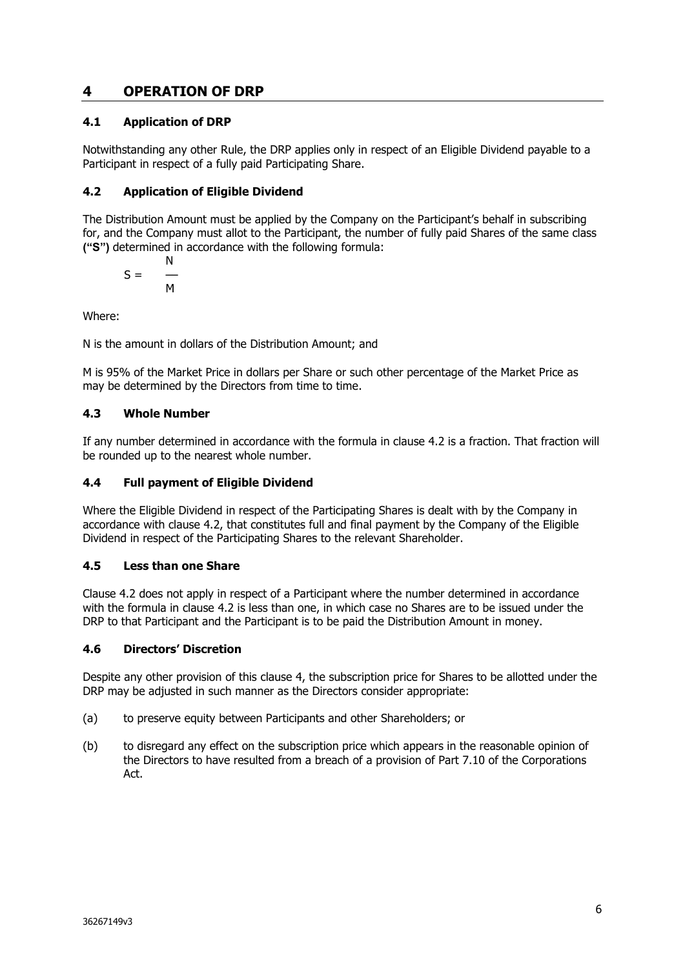# **4 OPERATION OF DRP**

## **4.1 Application of DRP**

Notwithstanding any other Rule, the DRP applies only in respect of an Eligible Dividend payable to a Participant in respect of a fully paid Participating Share.

## <span id="page-5-0"></span>**4.2 Application of Eligible Dividend**

The Distribution Amount must be applied by the Company on the Participant's behalf in subscribing for, and the Company must allot to the Participant, the number of fully paid Shares of the same class **("S")** determined in accordance with the following formula:

$$
S = \frac{N}{M}
$$

Where:

N is the amount in dollars of the Distribution Amount; and

M is 95% of the Market Price in dollars per Share or such other percentage of the Market Price as may be determined by the Directors from time to time.

## **4.3 Whole Number**

If any number determined in accordance with the formula in clause [4.2](#page-5-0) is a fraction. That fraction will be rounded up to the nearest whole number.

## **4.4 Full payment of Eligible Dividend**

Where the Eligible Dividend in respect of the Participating Shares is dealt with by the Company in accordance with clause [4.2,](#page-5-0) that constitutes full and final payment by the Company of the Eligible Dividend in respect of the Participating Shares to the relevant Shareholder.

## **4.5 Less than one Share**

Clause [4.2](#page-5-0) does not apply in respect of a Participant where the number determined in accordance with the formula in clause [4.2](#page-5-0) is less than one, in which case no Shares are to be issued under the DRP to that Participant and the Participant is to be paid the Distribution Amount in money.

## **4.6 Directors' Discretion**

Despite any other provision of this clause 4, the subscription price for Shares to be allotted under the DRP may be adjusted in such manner as the Directors consider appropriate:

- (a) to preserve equity between Participants and other Shareholders; or
- (b) to disregard any effect on the subscription price which appears in the reasonable opinion of the Directors to have resulted from a breach of a provision of Part 7.10 of the Corporations Act.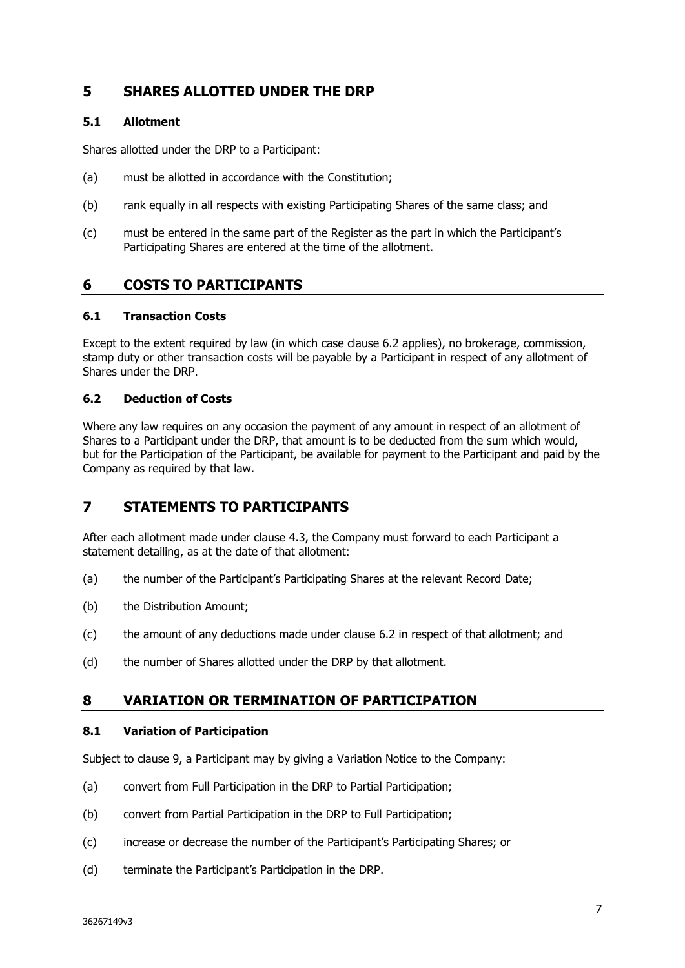# **5 SHARES ALLOTTED UNDER THE DRP**

### **5.1 Allotment**

Shares allotted under the DRP to a Participant:

- (a) must be allotted in accordance with the Constitution;
- (b) rank equally in all respects with existing Participating Shares of the same class; and
- (c) must be entered in the same part of the Register as the part in which the Participant's Participating Shares are entered at the time of the allotment.

# **6 COSTS TO PARTICIPANTS**

### **6.1 Transaction Costs**

Except to the extent required by law (in which case clause 6.2 applies), no brokerage, commission, stamp duty or other transaction costs will be payable by a Participant in respect of any allotment of Shares under the DRP.

### **6.2 Deduction of Costs**

Where any law requires on any occasion the payment of any amount in respect of an allotment of Shares to a Participant under the DRP, that amount is to be deducted from the sum which would, but for the Participation of the Participant, be available for payment to the Participant and paid by the Company as required by that law.

## **7 STATEMENTS TO PARTICIPANTS**

After each allotment made under clause 4.3, the Company must forward to each Participant a statement detailing, as at the date of that allotment:

- (a) the number of the Participant's Participating Shares at the relevant Record Date;
- (b) the Distribution Amount;
- (c) the amount of any deductions made under clause 6.2 in respect of that allotment; and
- (d) the number of Shares allotted under the DRP by that allotment.

## **8 VARIATION OR TERMINATION OF PARTICIPATION**

### **8.1 Variation of Participation**

Subject to clause 9, a Participant may by giving a Variation Notice to the Company:

- (a) convert from Full Participation in the DRP to Partial Participation;
- (b) convert from Partial Participation in the DRP to Full Participation;
- (c) increase or decrease the number of the Participant's Participating Shares; or
- (d) terminate the Participant's Participation in the DRP.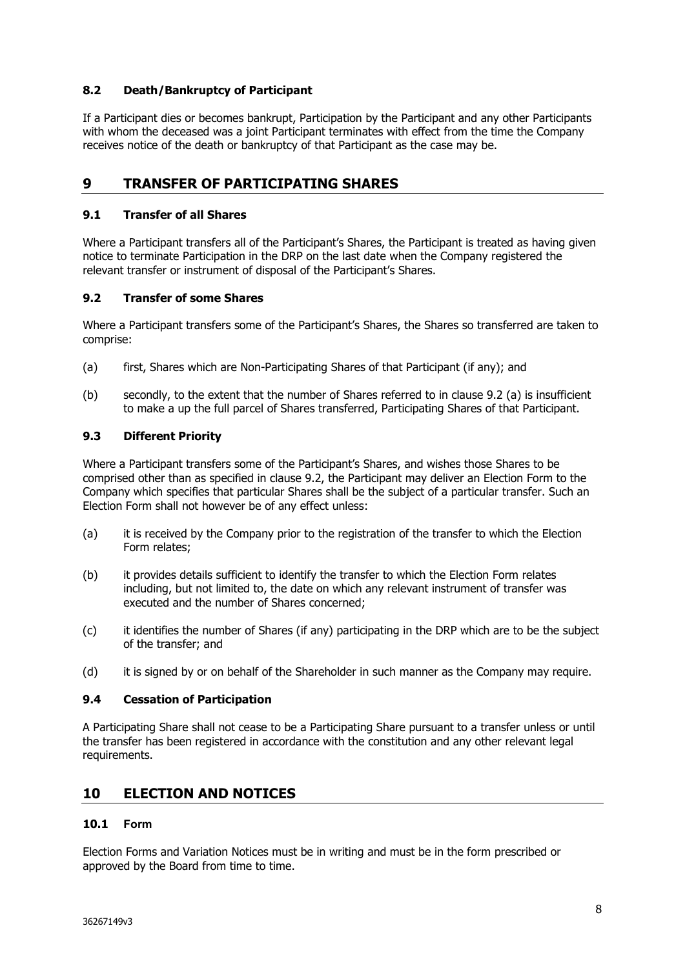### **8.2 Death/Bankruptcy of Participant**

If a Participant dies or becomes bankrupt, Participation by the Participant and any other Participants with whom the deceased was a joint Participant terminates with effect from the time the Company receives notice of the death or bankruptcy of that Participant as the case may be.

# **9 TRANSFER OF PARTICIPATING SHARES**

### **9.1 Transfer of all Shares**

Where a Participant transfers all of the Participant's Shares, the Participant is treated as having given notice to terminate Participation in the DRP on the last date when the Company registered the relevant transfer or instrument of disposal of the Participant's Shares.

### **9.2 Transfer of some Shares**

Where a Participant transfers some of the Participant's Shares, the Shares so transferred are taken to comprise:

- (a) first, Shares which are Non-Participating Shares of that Participant (if any); and
- (b) secondly, to the extent that the number of Shares referred to in clause 9.2 (a) is insufficient to make a up the full parcel of Shares transferred, Participating Shares of that Participant.

### **9.3 Different Priority**

Where a Participant transfers some of the Participant's Shares, and wishes those Shares to be comprised other than as specified in clause 9.2, the Participant may deliver an Election Form to the Company which specifies that particular Shares shall be the subject of a particular transfer. Such an Election Form shall not however be of any effect unless:

- (a) it is received by the Company prior to the registration of the transfer to which the Election Form relates;
- (b) it provides details sufficient to identify the transfer to which the Election Form relates including, but not limited to, the date on which any relevant instrument of transfer was executed and the number of Shares concerned;
- (c) it identifies the number of Shares (if any) participating in the DRP which are to be the subject of the transfer; and
- (d) it is signed by or on behalf of the Shareholder in such manner as the Company may require.

### **9.4 Cessation of Participation**

A Participating Share shall not cease to be a Participating Share pursuant to a transfer unless or until the transfer has been registered in accordance with the constitution and any other relevant legal requirements.

## **10 ELECTION AND NOTICES**

### **10.1 Form**

Election Forms and Variation Notices must be in writing and must be in the form prescribed or approved by the Board from time to time.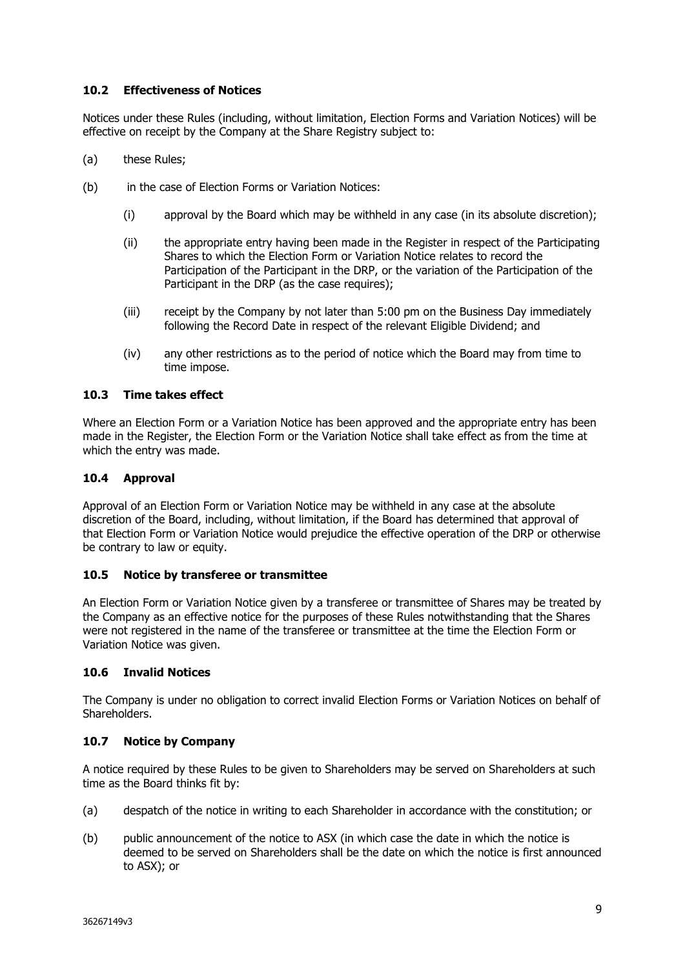### **10.2 Effectiveness of Notices**

Notices under these Rules (including, without limitation, Election Forms and Variation Notices) will be effective on receipt by the Company at the Share Registry subject to:

- (a) these Rules;
- (b) in the case of Election Forms or Variation Notices:
	- (i) approval by the Board which may be withheld in any case (in its absolute discretion);
	- (ii) the appropriate entry having been made in the Register in respect of the Participating Shares to which the Election Form or Variation Notice relates to record the Participation of the Participant in the DRP, or the variation of the Participation of the Participant in the DRP (as the case requires);
	- (iii) receipt by the Company by not later than 5:00 pm on the Business Day immediately following the Record Date in respect of the relevant Eligible Dividend; and
	- (iv) any other restrictions as to the period of notice which the Board may from time to time impose.

### **10.3 Time takes effect**

Where an Election Form or a Variation Notice has been approved and the appropriate entry has been made in the Register, the Election Form or the Variation Notice shall take effect as from the time at which the entry was made.

#### **10.4 Approval**

Approval of an Election Form or Variation Notice may be withheld in any case at the absolute discretion of the Board, including, without limitation, if the Board has determined that approval of that Election Form or Variation Notice would prejudice the effective operation of the DRP or otherwise be contrary to law or equity.

### **10.5 Notice by transferee or transmittee**

An Election Form or Variation Notice given by a transferee or transmittee of Shares may be treated by the Company as an effective notice for the purposes of these Rules notwithstanding that the Shares were not registered in the name of the transferee or transmittee at the time the Election Form or Variation Notice was given.

### **10.6 Invalid Notices**

The Company is under no obligation to correct invalid Election Forms or Variation Notices on behalf of Shareholders.

### **10.7 Notice by Company**

A notice required by these Rules to be given to Shareholders may be served on Shareholders at such time as the Board thinks fit by:

- (a) despatch of the notice in writing to each Shareholder in accordance with the constitution; or
- (b) public announcement of the notice to ASX (in which case the date in which the notice is deemed to be served on Shareholders shall be the date on which the notice is first announced to ASX); or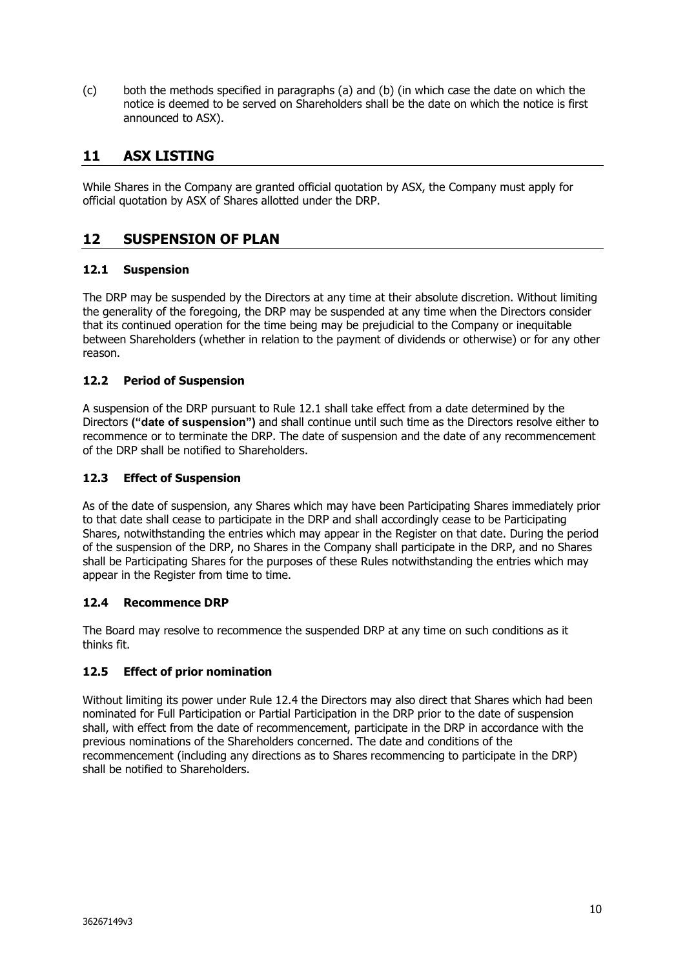(c) both the methods specified in paragraphs (a) and (b) (in which case the date on which the notice is deemed to be served on Shareholders shall be the date on which the notice is first announced to ASX).

# **11 ASX LISTING**

While Shares in the Company are granted official quotation by ASX, the Company must apply for official quotation by ASX of Shares allotted under the DRP.

# **12 SUSPENSION OF PLAN**

## **12.1 Suspension**

The DRP may be suspended by the Directors at any time at their absolute discretion. Without limiting the generality of the foregoing, the DRP may be suspended at any time when the Directors consider that its continued operation for the time being may be prejudicial to the Company or inequitable between Shareholders (whether in relation to the payment of dividends or otherwise) or for any other reason.

### **12.2 Period of Suspension**

A suspension of the DRP pursuant to Rule 12.1 shall take effect from a date determined by the Directors **("date of suspension")** and shall continue until such time as the Directors resolve either to recommence or to terminate the DRP. The date of suspension and the date of any recommencement of the DRP shall be notified to Shareholders.

### **12.3 Effect of Suspension**

As of the date of suspension, any Shares which may have been Participating Shares immediately prior to that date shall cease to participate in the DRP and shall accordingly cease to be Participating Shares, notwithstanding the entries which may appear in the Register on that date. During the period of the suspension of the DRP, no Shares in the Company shall participate in the DRP, and no Shares shall be Participating Shares for the purposes of these Rules notwithstanding the entries which may appear in the Register from time to time.

### **12.4 Recommence DRP**

The Board may resolve to recommence the suspended DRP at any time on such conditions as it thinks fit.

## **12.5 Effect of prior nomination**

Without limiting its power under Rule 12.4 the Directors may also direct that Shares which had been nominated for Full Participation or Partial Participation in the DRP prior to the date of suspension shall, with effect from the date of recommencement, participate in the DRP in accordance with the previous nominations of the Shareholders concerned. The date and conditions of the recommencement (including any directions as to Shares recommencing to participate in the DRP) shall be notified to Shareholders.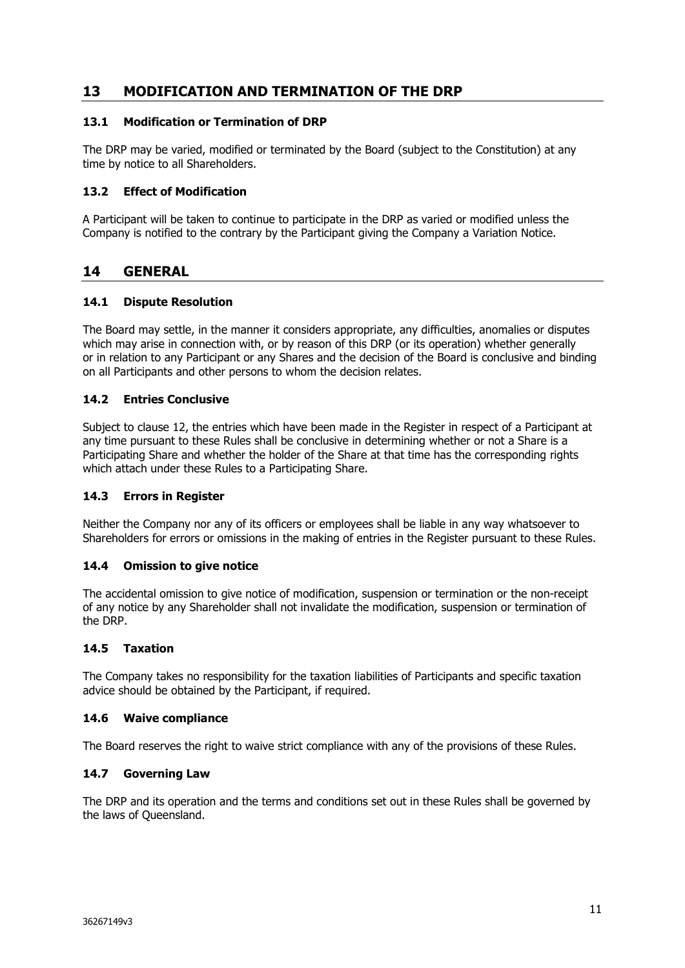# **13 MODIFICATION AND TERMINATION OF THE DRP**

### **13.1 Modification or Termination of DRP**

The DRP may be varied, modified or terminated by the Board (subject to the Constitution) at any time by notice to all Shareholders.

### **13.2 Effect of Modification**

A Participant will be taken to continue to participate in the DRP as varied or modified unless the Company is notified to the contrary by the Participant giving the Company a Variation Notice.

## **14 GENERAL**

### **14.1 Dispute Resolution**

The Board may settle, in the manner it considers appropriate, any difficulties, anomalies or disputes which may arise in connection with, or by reason of this DRP (or its operation) whether generally or in relation to any Participant or any Shares and the decision of the Board is conclusive and binding on all Participants and other persons to whom the decision relates.

### **14.2 Entries Conclusive**

Subject to clause 12, the entries which have been made in the Register in respect of a Participant at any time pursuant to these Rules shall be conclusive in determining whether or not a Share is a Participating Share and whether the holder of the Share at that time has the corresponding rights which attach under these Rules to a Participating Share.

### **14.3 Errors in Register**

Neither the Company nor any of its officers or employees shall be liable in any way whatsoever to Shareholders for errors or omissions in the making of entries in the Register pursuant to these Rules.

### **14.4 Omission to give notice**

The accidental omission to give notice of modification, suspension or termination or the non-receipt of any notice by any Shareholder shall not invalidate the modification, suspension or termination of the DRP.

### **14.5 Taxation**

The Company takes no responsibility for the taxation liabilities of Participants and specific taxation advice should be obtained by the Participant, if required.

### **14.6 Waive compliance**

The Board reserves the right to waive strict compliance with any of the provisions of these Rules.

### **14.7 Governing Law**

The DRP and its operation and the terms and conditions set out in these Rules shall be governed by the laws of Queensland.